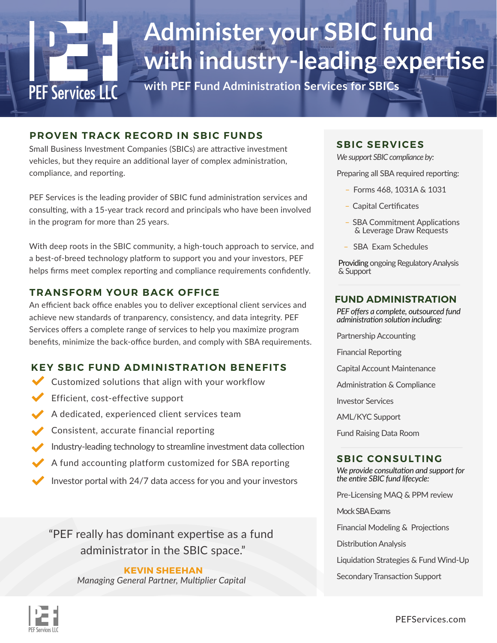# **PEF Services LLC**

## **Administer your SBIC fund with industry-leading expertise**

**with PEF Fund Administration Services for SBICs**

#### **PROVEN TRACK RECORD IN SBIC FUNDS**

Small Business Investment Companies (SBICs) are attractive investment vehicles, but they require an additional layer of complex administration, compliance, and reporting.

PEF Services is the leading provider of SBIC fund administration services and consulting, with a 15-year track record and principals who have been involved in the program for more than 25 years.

With deep roots in the SBIC community, a high-touch approach to service, and a best-of-breed technology platform to support you and your investors, PEF helps firms meet complex reporting and compliance requirements confidently.

#### **TRANSFORM YOUR BACK OFFICE**

An efficient back office enables you to deliver exceptional client services and achieve new standards of tranparency, consistency, and data integrity. PEF Services offers a complete range of services to help you maximize program benefits, minimize the back-office burden, and comply with SBA requirements.

#### **KEY SBIC FUND ADMINISTRATION BENEFITS**

- Customized solutions that align with your workflow
- Efficient, cost-effective support
- A dedicated, experienced client services team
- Consistent, accurate financial reporting
- Industry-leading technology to streamline investment data collection
- A fund accounting platform customized for SBA reporting
- Investor portal with 24/7 data access for you and your investors

"PEF really has dominant expertise as a fund administrator in the SBIC space."

> **KEVIN SHEEHAN** *Managing General Partner, Multiplier Capital*

#### **SBIC SERVICES**

*We support SBIC compliance by:*

Preparing all SBA required reporting:

- � Forms 468, 1031A & 1031
- Capital Certificates
- SBA Commitment Applications & Leverage Draw Requests
- SBA Exam Schedules

Providing ongoing Regulatory Analysis & Support

#### **FUND ADMINISTRATION**

*PEF offers a complete, outsourced fund administration solution including:*

Partnership Accounting

Financial Reporting

Capital Account Maintenance

Administration & Compliance

Investor Services

AML/KYC Support

Fund Raising Data Room

#### **SBIC CONSULTING**

*We provide consultation and support for the entire SBIC fund lifecycle:*

Pre-Licensing MAQ & PPM review

Mock SBA Exams

Financial Modeling & Projections

Distribution Analysis

Liquidation Strategies & Fund Wind-Up

Secondary Transaction Support